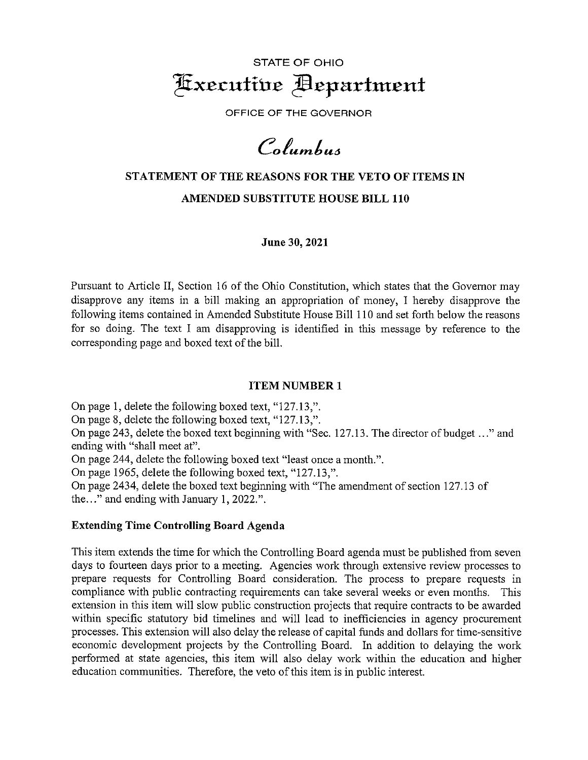

OFFICE OF THE GOVERNOR

Columbus

# STATEMENT OF THE REASONS FOR THE VETO OF ITEMS IN AMENDED SUBSTITUTE HOUSE BILL 110

June 30, 2021

Pursuant to Article II, Section 16 of the Ohio Constitution, which states that the Governor may disapprove any items in <sup>a</sup> bill making an appropriation of money, I hereby disapprove the following items contained in Amended Substitute House Bill 110 and set forth below the reasons for so doing. The text I am disapproving is identified in this message by reference to the corresponding page and boxed text of the bill.

## ITEM NUMBER <sup>1</sup>

On page 1, delete the following boxed text, "127.13,". On page 8, delete the following boxed text, "127.13,". On page 243, delete the boxed text beginning with "Sec. 127.13. The director of budget .. ." and ending with "shall meet at". On page 244, delete the following boxed text "least once <sup>a</sup> month.". On page 1965, delete the following boxed text, "127.13,". On page 2434, delete the boxed text beginning with "The amendment of section 127.13 of

the.. ." and ending with January 1,2022.".

## Extending Time Controlling Board Agenda

This item extends the time for which the Controlling Board agenda must be published from seven days to fourteen days prior to a meeting. Agencies work through extensive review processes to prepare requests for Controlling Board consideration. The process to prepare requests in compliance with public contracting requirements can take several weeks or even months. This extension in this item will slow public construction projects that require contracts to be awarded within specific statutory bid timelines and will lead to inefficiencies in agency procurement processes. This extension will also delay the release of capital funds and dollars for time-sensitive economic development projects by the Controlling Board. In addition to delaying the work performed at state agencies, this item will also delay work within the education and higher education communities. Therefore, the veto of this item is in public interest.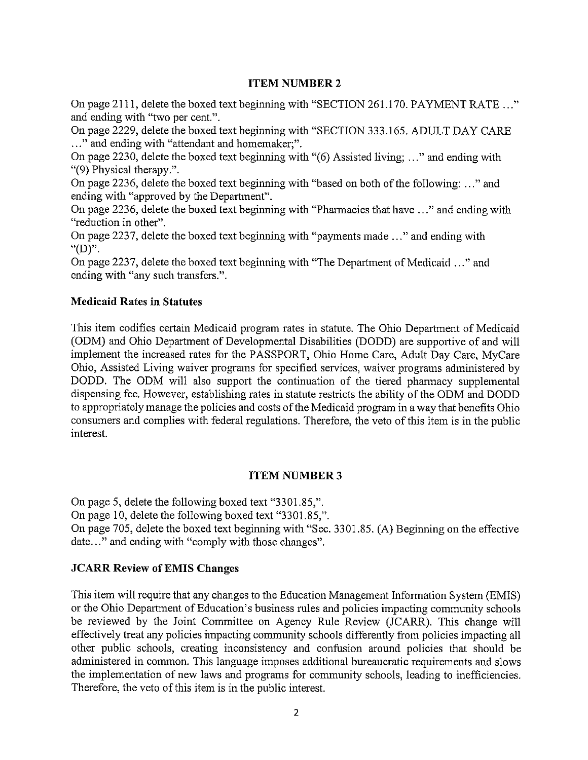#### ITEM NUMBER <sup>2</sup>

On page 2111, delete the boxed text beginning with "SECTION 261.170. PAYMENT RATE . . and ending with "two per cent.".

On page 2229, delete the boxed text beginning with "SECTION 333.165. ADULT DAY CARE ..." and ending with "attendant and homemaker;".

On page 2230, delete the boxed text beginning with "(6) Assisted living; ..." and ending with "(9) Physical therapy.".

On page 2236, delete the boxed text beginning with "based on both of the following: ..." and ending with "approved by the Department".

On page 2236, delete the boxed text beginning with "Pharmacies that have ..." and ending with "reduction in other".

On page 2237, delete the boxed text beginning with "payments made . . ." and ending with " $(D)$ ".

On page 2237, delete the boxed text beginning with "The Department of Medicaid . . ." and ending with "any such transfers.".

## Medicaid Rates in Statutes

This item codifies certain Medicaid program rates in statute. The Ohio Department of Medicaid (0DM) and Ohio Department of Developmental Disabilities (DODD) are supportive of and will implement the increased rates for the PASSPORT, Ohio Home Care, Adult Day Care, MyCare Ohio, Assisted Living waiver programs for specified services, waiver programs administered by DODD. The 0DM will also support the continuation of the tiered pharmacy supplemental dispensing fee. However, establishing rates in statute restricts the ability of the 0DM and DODD to appropriately manage the policies and costs of the Medicaid program in <sup>a</sup> way that benefits Ohio consumers and complies with federal regulations. Therefore, the veto of this item is in the public interest.

## ITEM NUMBER <sup>3</sup>

On page 5, delete the following boxed text "3301.85,".

On page 10, delete the following boxed text "3301.85,".

On page 705, delete the boxed text beginning with "Sec. 3301.85. (A) Beginning on the effective date..." and ending with "comply with those changes".

## JCARR Review of EMIS Changes

This item will require that any changes to the Education Management Information System (EMIS) or the Ohio Department of Education's business rules and policies impacting community schools be reviewed by the Joint Committee on Agency Rule Review (JCARR). This change will effectively treat any policies impacting community schools differently from policies impacting all other public schools, creating inconsistency and confusion around policies that should be administered in common. This language imposes additional bureaucratic requirements and slows the implementation of new laws and programs for community schools, leading to inefficiencies. Therefore, the veto of this item is in the public interest.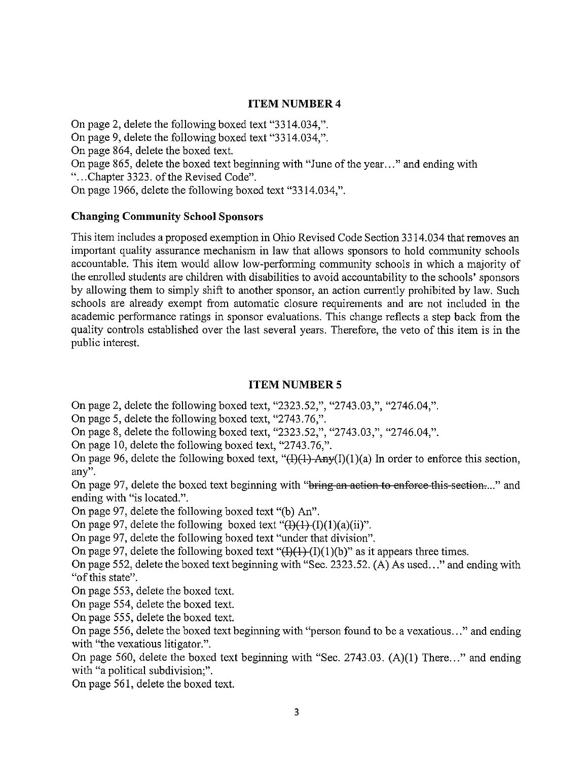## ITEM NUMBER <sup>4</sup>

On page 2, delete the following boxed text "3314.034,".

On page 9, delete the following boxed text "33 14.034,".

On page 864, delete the boxed text.

On page 865, delete the boxed text beginning with "June of the year..." and ending with ".. .Chapter 3323. of the Revised Code".

On page 1966, delete the following boxed text "3314.034,".

# Changing Community School Sponsors

This item includes a proposed exemption in Ohio Revised Code Section 3314.034 that removes an important quality assurance mechanism in law that allows sponsors to hold community schools accountable. This item would allow low-performing community schools in which <sup>a</sup> majority of the enrolled students are children with disabilities to avoid accountability to the schools' sponsors by allowing them to simply shift to another sponsor, an action currently prohibited by law. Such schools are already exempt from automatic closure requirements and are not included in the academic performance ratings in sponsor evaluations. This change reflects <sup>a</sup> step back from the quality controls established over the last several years. Therefore, the veto of this item is in the public interest.

## ITEM NUMBER <sup>5</sup>

On page 2, delete the following boxed text, "2323.52,", "2743.03,", "2746.04,".

On page 5, delete the following boxed text, "2743.76,".

On page 8, delete the following boxed text, "2323.52,", "2743.03,", "2746.04,".

On page 10, delete the following boxed text, "2743.76,".

On page 96, delete the following boxed text, " $(H)(1)$ -Any $(I)(1)(a)$  In order to enforce this section, any".

On page 97, delete the boxed text beginning with "bring an action to enforce this section...." and ending with "is located.".

On page 97, delete the following boxed text "(b) An".

On page 97, delete the following boxed text " $(H)(1)$ (1)(a)(ii)".

On page 97, delete the following boxed text "under that division".

On page 97, delete the following boxed text " $(H)(1)(1)(b)$ " as it appears three times.

On page 552, delete the boxed text beginning with "Sec. 2323.52. (A) As used..." and ending with "of this state".

On page 553, delete the boxed text.

On page 554, delete the boxed text.

On page 555, delete the boxed text.

On page 556, delete the boxed text beginning with "person found to be <sup>a</sup> vexatious.. ." and ending with "the vexatious litigator.".

On page 560, delete the boxed text beginning with "Sec. 2743.03. (A)(1) There..." and ending with "a political subdivision;".

On page 561, delete the boxed text.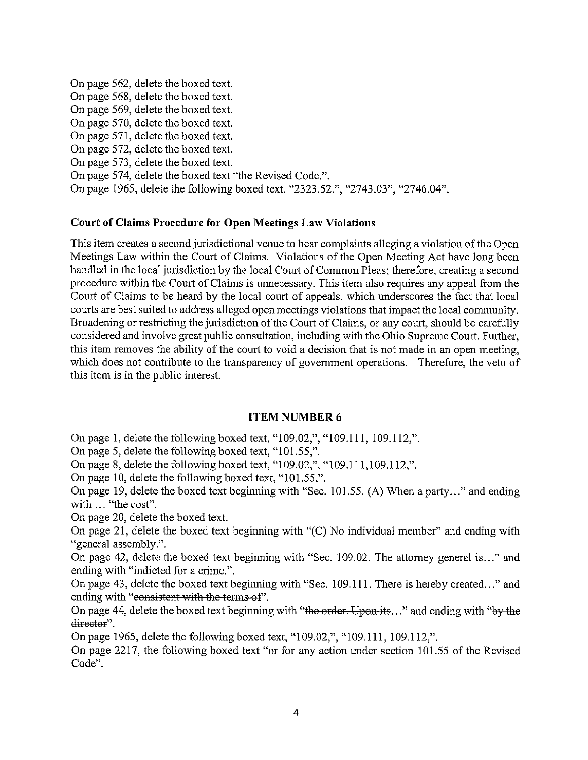On page 562, delete the boxed text. On page 568, delete the boxed text. On page 569, delete the boxed text. On page 570, delete the boxed text. On page 571, delete the boxed text. On page 572, delete the boxed text. On page 573, delete the boxed text. On page 574, delete the boxed text "the Revised Code.". On page 1965, delete the following boxed text, "2323.52.", "2743.03", "2746.04".

#### Court of Claims Procedure for Open Meetings Law Violations

This item creates <sup>a</sup> second jurisdictional venue to hear complaints alleging <sup>a</sup> violation of the Open Meetings Law within the Court of Claims. Violations of the Open Meeting Act have long been handled in the local jurisdiction by the local Court of Common Pleas; therefore, creating <sup>a</sup> second procedure within the Court of Claims is unnecessary. This item also requires any appeal from the Court of Claims to be heard by the local court of appeals, which underscores the fact that local courts are best suited to address alleged open meetings violations that impact the local community. Broadening or restricting the jurisdiction of the Court of Claims, or any court, should be carefully considered and involve great public consultation, including with the Ohio Supreme Court. Further, this item removes the ability of the court to void <sup>a</sup> decision that is not made in an open meeting, which does not contribute to the transparency of government operations. Therefore, the veto of this item is in the public interest.

## ITEM NUMBER <sup>6</sup>

On page 1, delete the following boxed text, "109.02,", "109.111, 109.112,".

On page 5, delete the following boxed text, "101.55,".

On page 8, delete the following boxed text, "109.02,", "109.111,109.112,".

On page 10, delete the following boxed text, "101.55,".

On page 19, delete the boxed text beginning with "Sec. 101.55. (A) When <sup>a</sup> party..." and ending with ... "the cost".

On page 20, delete the boxed text.

On page 21, delete the boxed text beginning with "(C) No individual member" and ending with "general assembly.".

On page 42, delete the boxed text beginning with "Sec. 109.02. The attorney general is..." and ending with "indicted for a crime.".

On page 43, delete the boxed text beginning with "Sec. 109.111. There is hereby created..." and ending with "consistent with the terms of".

On page 44, delete the boxed text beginning with "the order. Upon-its..." and ending with "by the director".

On page 1965, delete the following boxed text, "109.02,", "109.111, 109.112,".

On page 2217, the following boxed text "or for any action under section 101.55 of the Revised Code".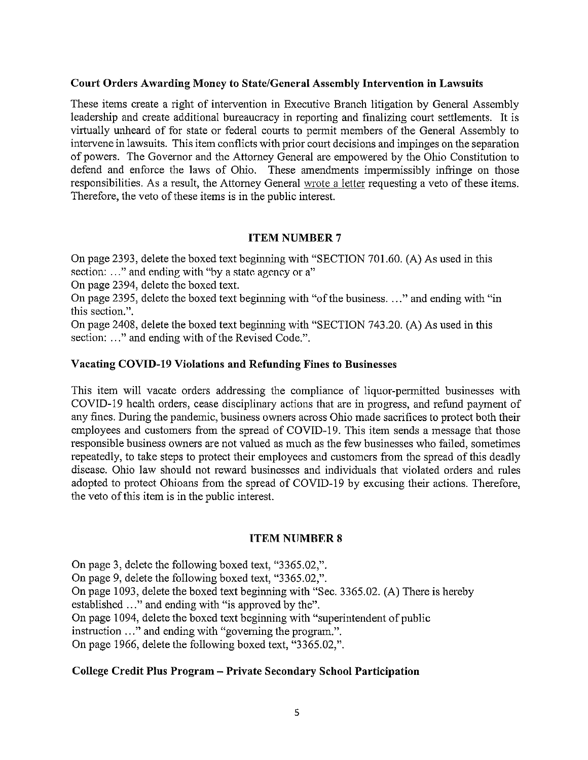#### Court Orders Awarding Money to State/General Assembly Intervention in Lawsuits

These items create <sup>a</sup> right of intervention in Executive Branch litigation by General Assembly leadership and create additional bureaucracy in reporting and finalizing court settlements. It is virtually unheard of for state or federal courts to permit members of the General Assembly to intervene in lawsuits. This item conflicts with prior court decisions and impinges on the separation of powers. The Governor and the Attorney General are empowered by the Ohio Constitution to defend and enforce the laws of Ohio. These amendments impermissibly infringe on those responsibilities. As <sup>a</sup> result, the Attorney General wrote <sup>a</sup> letter requesting <sup>a</sup> veto of these items. Therefore, the veto of these items is in the public interest.

# ITEM NUMBER <sup>7</sup>

On page 2393, delete the boxed text beginning with "SECTION 701.60. (A) As used in this section: ..." and ending with "by a state agency or a"

On page 2394, delete the boxed text.

On page 2395, delete the boxed text beginning with "of the business.  $\ldots$ " and ending with "in this section.".

On page 2408, delete the boxed text beginning with "SECTION 743.20. (A) As used in this section: ..." and ending with of the Revised Code.".

## Vacating COVID-19 Violations and Refunding Fines to Businesses

This item will vacate orders addressing the compliance of liquor-permitted businesses with COVID-l9 health orders, cease disciplinary actions that are in progress, and refund payment of any fines. During the pandemic, business owners across Ohio made sacrifices to protect both their employees and customers from the spread of COVID-19. This item sends a message that those responsible business owners are not valued as much as the few businesses who failed, sometimes repeatedly, to take steps to protect their employees and customers from the spread of this deadly disease. Ohio law should not reward businesses and individuals that violated orders and rules adopted to protect Ohioans from the spread of COVID-19 by excusing their actions. Therefore, the veto of this item is in the public interest.

## ITEM NUMBER <sup>S</sup>

On page 3, delete the following boxed text, "3365.02,". On page 9, delete the following boxed text, "3365.02,". On page 1093, delete the boxed text beginning with "Sec. 3365.02. (A) There is hereby established ..." and ending with "is approved by the". On page 1094, delete the boxed text beginning with "superintendent of public instruction ..." and ending with "governing the program.". On page 1966, delete the following boxed text, "3365.02,".

## College Credit Plus Program — Private Secondary School Participation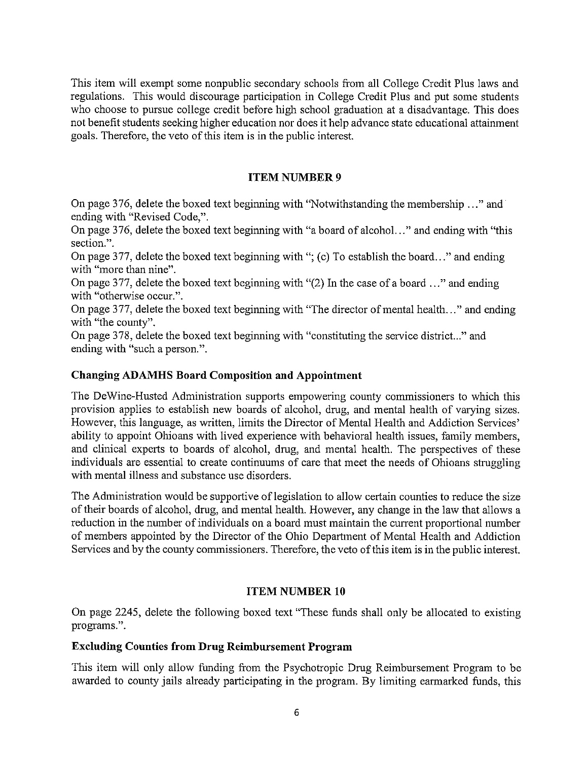This item will exempt some nonpublic secondary schools from all College Credit Plus laws and regulations. This would discourage participation in College Credit Plus and put some students who choose to pursue college credit before high school graduation at <sup>a</sup> disadvantage. This does not benefit students seeking higher education nor does it help advance state educational attainment goals. Therefore, the veto of this item is in the public interest.

# ITEM NUMBER <sup>9</sup>

On page 376, delete the boxed text beginning with "Notwithstanding the membership ..." and ending with "Revised Code,".

On page 376, delete the boxed text beginning with "a board of alcohol..." and ending with "this section.".

On page 377, delete the boxed text beginning with "; (c) To establish the board..." and ending with "more than nine".

On page 377, delete the boxed text beginning with " $(2)$  In the case of a board ..." and ending with "otherwise occur.".

On page 377, delete the boxed text beginning with "The director of mental health. . ." and ending with "the county".

On page 378, delete the boxed text beginning with "constituting the service district..." and ending with "such a person.".

## Changing ADAMHS Board Composition and Appointment

The DeWine-Husted Administration supports empowering county commissioners to which this provision applies to establish new boards of alcohol, drug, and mental health of varying sizes. However, this language, as written, limits the Director of Mental Health and Addiction Services' ability to appoint Ohioans with lived experience with behavioral health issues, family members, and clinical experts to boards of alcohol, drug, and mental health. The perspectives of these individuals are essential to create continuums of care that meet the needs of Ohioans struggling with mental illness and substance use disorders.

The Administration would be supportive of legislation to allow certain counties to reduce the size of their boards of alcohol, drug, and mental health. However, any change in the law that allows <sup>a</sup> reduction in the number of individuals on <sup>a</sup> board must maintain the current proportional number of members appointed by the Director of the Ohio Department of Mental Health and Addiction Services and by the county commissioners. Therefore, the veto of this item is in the public interest.

# ITEM NUMBER 10

On page 2245, delete the following boxed text "These funds shall only be allocated to existing programs.".

## Excluding Counties from Drug Reimbursement Program

This item will only allow thnding from the Psychotropic Drug Reimbursement Program to be awarded to county jails already participating in the program. By limiting earmarked funds, this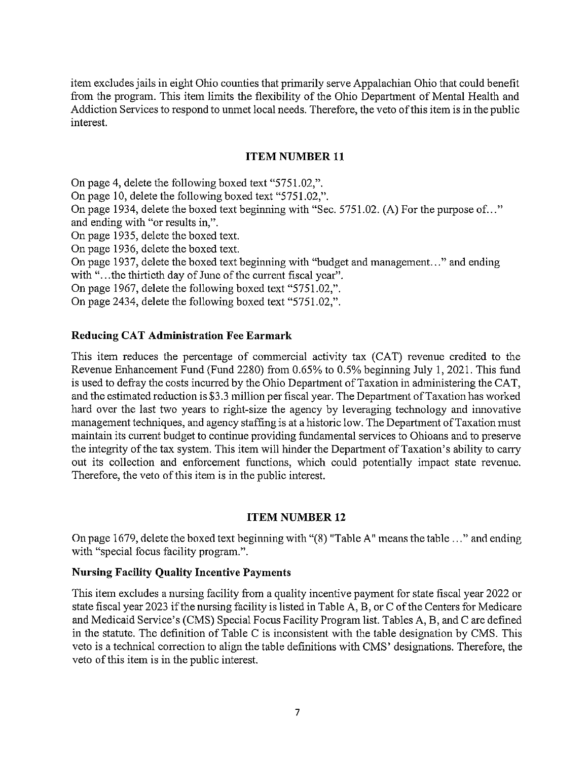item excludes jails in eight Ohio counties that primarily serve Appalachian Ohio that could benefit from the program. This item limits the flexibility of the Ohio Department of Mental Health and Addiction Services to respond to unmet local needs. Therefore, the veto of this item is in the public interest.

#### ITEM NUMBER <sup>11</sup>

On page 4, delete the following boxed text "5751.02,". On page 10, delete the following boxed text "5751.02,". On page 1934, delete the boxed text beginning with "Sec. 5751.02. (A) For the purpose of..." and ending with "or results in,". On page 1935, delete the boxed text. On page 1936, delete the boxed text. On page 1937, delete the boxed text beginning with "budget and management..." and ending with "...the thirticth day of June of the current fiscal year". On page 1967, delete the following boxed text "5751.02,". On page 2434, delete the following boxed text "5751.02,".

## Reducing CAT Administration Fee Earmark

This item reduces the percentage of commercial activity tax (CAT) revenue credited to the Revenue Enhancement Fund (Fund 2280) from 0.65% to 0.5% beginning July 1,2021. This find is used to defray the costs incurred by the Ohio Department of Taxation in administering the CAT, and the estimated reduction is \$3.3 million per fiscal year. The Department of Taxation has worked hard over the last two years to right-size the agency by leveraging technology and innovative management techniques, and agency staffing is at <sup>a</sup> historic low. The Department ofTaxation must maintain its current budget to continue providing fundamental services to Ohioans and to preserve the integrity of the tax system. This item will hinder the Department of Taxation's ability to carry out its collection and enforcement functions, which could potentially impact state revenue. Therefore, the veto of this item is in the public interest.

## ITEM NUMBER 12

On page 1679, delete the boxed text beginning with "(8) "Table A" means the table . . ." and ending with "special focus facility program.".

## Nursing Facility Quality Incentive Payments

This item excludes <sup>a</sup> nursing facility from <sup>a</sup> quality incentive payment for state fiscal year 2022 or state fiscal year 2023 if the nursing facility is listed in Table A, B, or C of the Centers for Medicare and Medicaid Service's (CMS) Special Focus Facility Program list. Tables A, B, and C are defined in the statute. The definition of Table C is inconsistent with the table designation by CMS. This veto is <sup>a</sup> technical correction to align the table definitions with CMS' designations. Therefore, the veto of this item is in the public interest.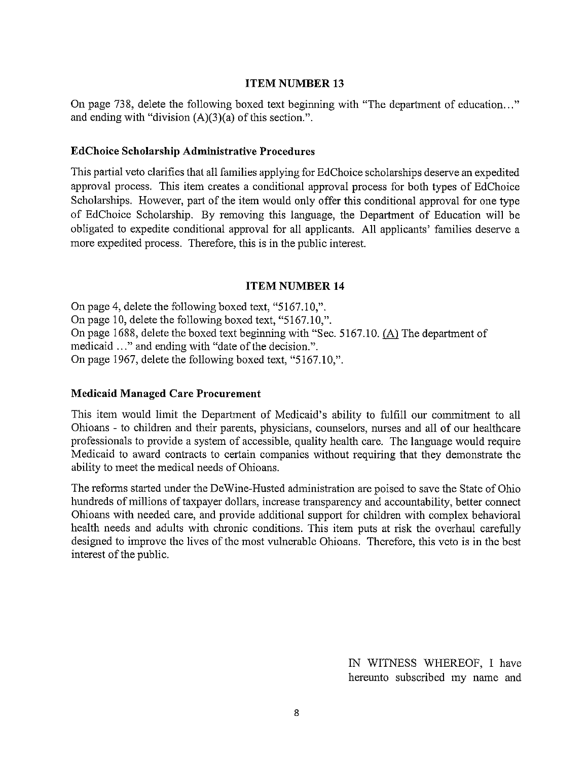#### ITEM NUMBER <sup>13</sup>

On page 738, delete the following boxed text beginning with "The department of education..." and ending with "division (A)(3)(a) of this section.".

#### EdChoice Scholarship Administrative Procedures

This partial veto clarifies that all families applying for EdChoice scholarships deserve an expedited approval process. This item creates <sup>a</sup> conditional approval process for both types of EdChoice Scholarships. However, part of the item would only offer this conditional approval for one type of EdChoice Scholarship. By removing this language, the Department of Education will be obligated to expedite conditional approval for all applicants. All applicants' families deserve <sup>a</sup> more expedited process. Therefore, this is in the public interest.

#### ITEM NUMBER 14

On page 4, delete the following boxed text, "5167.10,". On page 10, delete the following boxed text, "5167.10,". On page 1688, delete the boxed text beginning with "Sec. 5167.10.  $(A)$  The department of medicaid ..." and ending with "date of the decision.". On page 1967, delete the following boxed text, "5167.10,".

#### Medicaid Managed Care Procurement

This item would limit the Department of Medicaid's ability to fulfill our commitment to all Ohioans - to children and their parents, physicians, counselors, nurses and all of our healthcare professionals to provide <sup>a</sup> system of accessible, quality health care. The language would require Medicaid to award contracts to certain companies without requiring that they demonstrate the ability to meet the medical needs of Ohioans.

The reforms started under the DeWine-Husted administration are poised to save the State of Ohio hundreds of millions of taxpayer dollars, increase transparency and accountability, better connect Ohioans with needed care, and provide additional support for children with complex behavioral health needs and adults with chronic conditions. This item puts at risk the overhaul carefully designed to improve the lives of the most vulnerable Ohioans. Therefore, this veto is in the best interest of the public.

> IN WITNESS WHEREOF, I have hereunto subscribed my name and